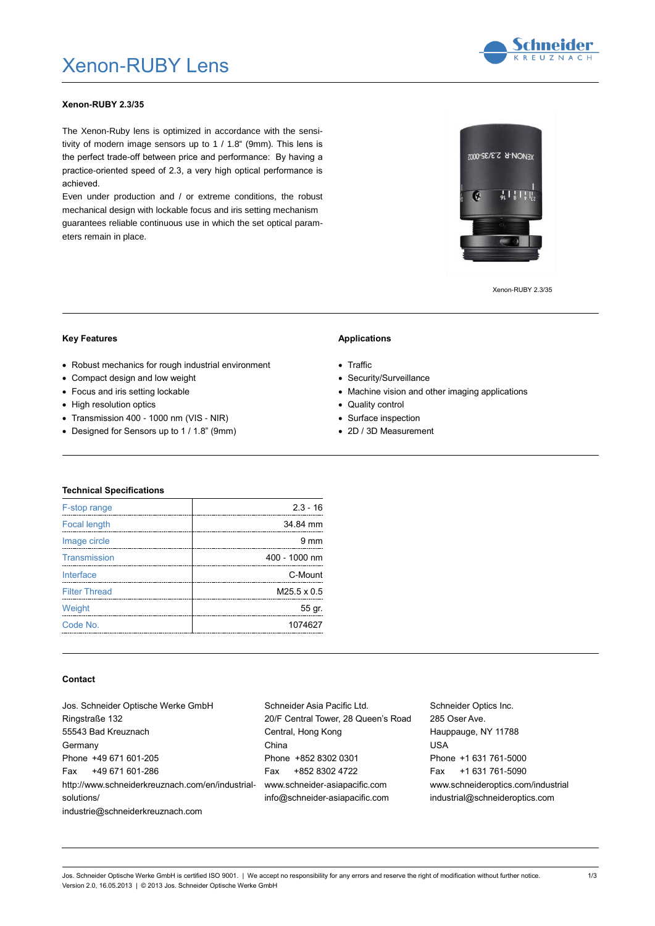# Xenon-RUBY Lens



## **Xenon-RUBY 2.3/35**

The Xenon-Ruby lens is optimized in accordance with the sensitivity of modern image sensors up to 1 / 1.8" (9mm). This lens is the perfect trade-off between price and performance: By having a practice-oriented speed of 2.3, a very high optical performance is achieved.

Even under production and / or extreme conditions, the robust mechanical design with lockable focus and iris setting mechanism guarantees reliable continuous use in which the set optical parameters remain in place.

**XENON-R 2.3/35-0002** 

G

 $\frac{1}{91}$  |  $\frac{1}{8}$  |  $\frac{1}{9}$  |  $\frac{1}{9}$ 

Xenon-RUBY 2.3/35

#### **Key Features**

### Robust mechanics for rough industrial environment

- Compact design and low weight
- Focus and iris setting lockable
- High resolution optics
- Transmission 400 1000 nm (VIS NIR)
- Designed for Sensors up to 1 / 1.8" (9mm)

#### **Applications**

- Traffic
- Security/Surveillance
- Machine vision and other imaging applications
- Quality control
- Surface inspection
- 2D / 3D Measurement

### **Technical Specifications**

| F-stop range         | $2.3 - 16$         |
|----------------------|--------------------|
| <b>Focal length</b>  | 34.84 mm           |
| Image circle         | 9 mm               |
| Transmission         | 400 - 1000 nm      |
| Interface            | C-Mount            |
| <b>Filter Thread</b> | $M25.5 \times 0.5$ |
| Weight               | 55 gr.             |
| Code No.             | 1074627            |
|                      |                    |

#### **Contact**

| Jos. Schneider Optische Werke GmbH               | Schneider Asia Pacific Ltd.         | Schneider Optics Inc.              |
|--------------------------------------------------|-------------------------------------|------------------------------------|
| Ringstraße 132                                   | 20/F Central Tower, 28 Queen's Road | 285 Oser Ave.                      |
| 55543 Bad Kreuznach                              | Central, Hong Kong                  | Hauppauge, NY 11788                |
| Germany                                          | China                               | <b>USA</b>                         |
| Phone +49 671 601-205                            | Phone +852 8302 0301                | Phone +1 631 761-5000              |
| Fax<br>+49 671 601-286                           | +852 8302 4722<br>Fax               | +1 631 761-5090<br>Fax             |
| http://www.schneiderkreuznach.com/en/industrial- | www.schneider-asiapacific.com       | www.schneideroptics.com/industrial |
| solutions/                                       | info@schneider-asiapacific.com      | industrial@schneideroptics.com     |
| industrie@schneiderkreuznach.com                 |                                     |                                    |
|                                                  |                                     |                                    |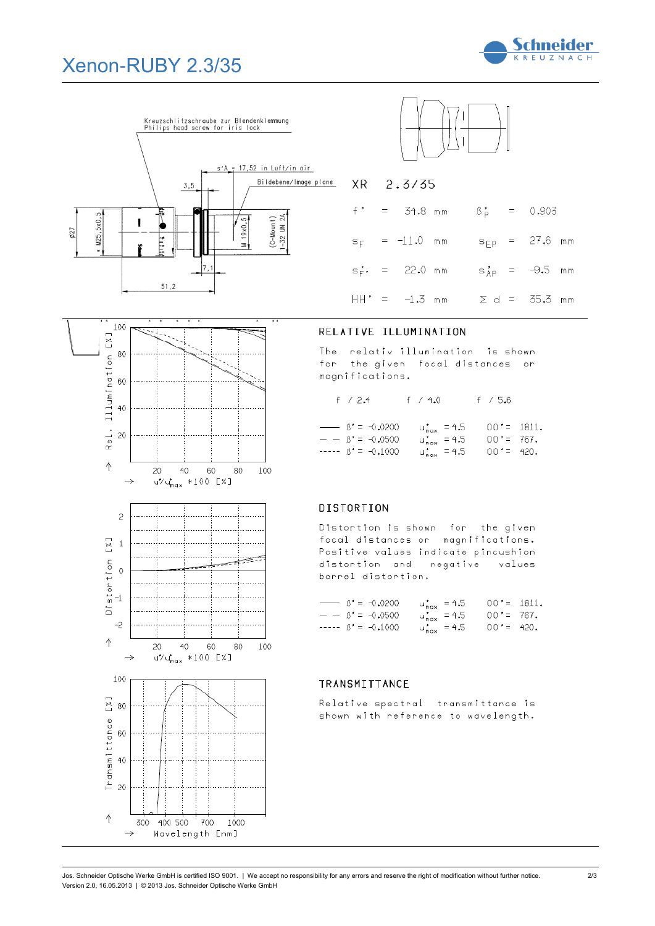# Xenon-RUBY 2.3/35





**Schneider** KREUZNACH

|  |  | $f' = 34.8$ mm $\beta_p' = 0.903$          |  |  |
|--|--|--------------------------------------------|--|--|
|  |  | $s_F$ = -11.0 mm s <sub>FP</sub> = 27.6 mm |  |  |
|  |  | $s_F^*$ = 22.0 mm $s_{AP}^*$ = -9.5 mm     |  |  |
|  |  | $HH' = -1.3$ mm $\geq d = 35.3$ mm         |  |  |

## 100 Rel. Illumination [%] 80 60  $40$ 20  $\wedge$  $40$ 60 100  $20$  $80$  $\rightarrow$  $u''$ u'<sub>max</sub> \*100 [%]  $\overline{c}$  $\sqrt{2}$  $\perp$  $\frac{D\textrm{1stortion}}{\textrm{1}}$  $-2$  $\uparrow$ 20  $40$ 60 80 100  $u''u'_{max}$  \*100 [%]  $\rightarrow$ 100 [X] 80 Transmittance 60  $40$ 20  $\uparrow$ 300 400 500 700 1000 Wavelength [nm]  $\rightarrow$

# RELATIVE ILLUMINATION

 $2.3/35$ 

**XR** 

The relativ illumination is shown for the given focal distances or  $\small \texttt{magnifications.}$ 

|  | f $/2.4$ |  | f / 4.0 |  | f / 5.6 |
|--|----------|--|---------|--|---------|
|  |          |  |         |  |         |

|  | $\rightarrow$ $\beta' = -0.0200$ | $u_{\text{max}}^{\star} = 4.5$  | $00' = 1811.$ |  |
|--|----------------------------------|---------------------------------|---------------|--|
|  | $- - 18' = -0.0500$              | $u_{\text{max}}^{\star} = 4.5$  | $00' = 767$ . |  |
|  | $-- \beta' = -0.1000$            | $u_{\text{max}}^{\prime} = 4.5$ | $00' = 420.$  |  |

# **DISTORTION**

Distortion is shown for the given focal distances or magnifications. Positive values indicate pincushion distortion and negative values barrel distortion.

| $\rightarrow$ $\beta' = -0.0200$ | $u_{\text{max}}^{\prime} = 4.5$ | $00' = 1811.$ |  |
|----------------------------------|---------------------------------|---------------|--|
| $- - 18' = -0.0500$              | $u_{\text{max}}^{\star} = 4.5$  | $00' = 767$ . |  |
| $-- \beta' = -0.1000$            | $u_{\text{max}}^{\star} = 4.5$  | $00' = 420$ . |  |

# TRANSMITTANCE

Relative spectral transmittance is shown with reference to wavelength.